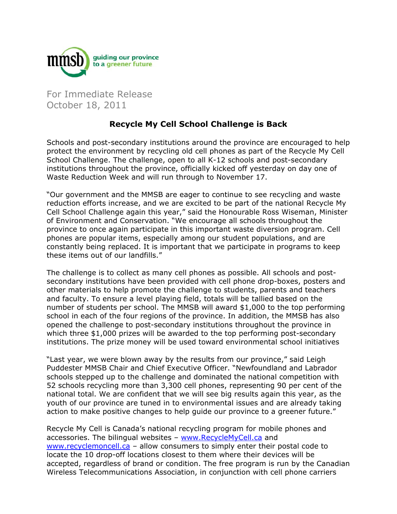

For Immediate Release October 18, 2011

## **Recycle My Cell School Challenge is Back**

Schools and post-secondary institutions around the province are encouraged to help protect the environment by recycling old cell phones as part of the Recycle My Cell School Challenge. The challenge, open to all K-12 schools and post-secondary institutions throughout the province, officially kicked off yesterday on day one of Waste Reduction Week and will run through to November 17.

"Our government and the MMSB are eager to continue to see recycling and waste reduction efforts increase, and we are excited to be part of the national Recycle My Cell School Challenge again this year," said the Honourable Ross Wiseman, Minister of Environment and Conservation. "We encourage all schools throughout the province to once again participate in this important waste diversion program. Cell phones are popular items, especially among our student populations, and are constantly being replaced. It is important that we participate in programs to keep these items out of our landfills."

The challenge is to collect as many cell phones as possible. All schools and postsecondary institutions have been provided with cell phone drop-boxes, posters and other materials to help promote the challenge to students, parents and teachers and faculty. To ensure a level playing field, totals will be tallied based on the number of students per school. The MMSB will award \$1,000 to the top performing school in each of the four regions of the province. In addition, the MMSB has also opened the challenge to post-secondary institutions throughout the province in which three \$1,000 prizes will be awarded to the top performing post-secondary institutions. The prize money will be used toward environmental school initiatives

"Last year, we were blown away by the results from our province," said Leigh Puddester MMSB Chair and Chief Executive Officer. "Newfoundland and Labrador schools stepped up to the challenge and dominated the national competition with 52 schools recycling more than 3,300 cell phones, representing 90 per cent of the national total. We are confident that we will see big results again this year, as the youth of our province are tuned in to environmental issues and are already taking action to make positive changes to help guide our province to a greener future."

Recycle My Cell is Canada's national recycling program for mobile phones and accessories. The bilingual websites – www.RecycleMyCell.ca and www.recyclemoncell.ca – allow consumers to simply enter their postal code to locate the 10 drop-off locations closest to them where their devices will be accepted, regardless of brand or condition. The free program is run by the Canadian Wireless Telecommunications Association, in conjunction with cell phone carriers